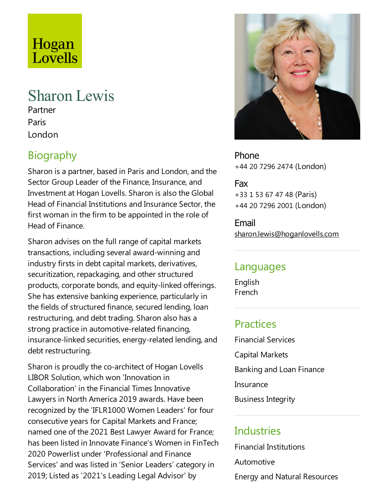# Hogan Lovells

# Sharon Lewis

Partner Paris London

# **Biography**

Sharon is a partner, based in Paris and London, and the Sector Group Leader of the Finance, Insurance, and Investment at Hogan Lovells. Sharon is also the Global Head of Financial Institutions and Insurance Sector, the first woman in the firm to be appointed in the role of Head of Finance.

Sharon advises on the full range of capital markets transactions, including several award-winning and industry firsts in debt capital markets, derivatives, securitization, repackaging, and other structured products, corporate bonds, and equity-linked offerings. She has extensive banking experience, particularly in the fields of structured finance, secured lending, loan restructuring, and debt trading. Sharon also has a strong practice in automotive-related financing, insurance-linked securities, energy-related lending, and debt restructuring.

Sharon is proudly the co-architect of Hogan Lovells LIBOR Solution, which won 'Innovation in Collaboration' in the Financial Times Innovative Lawyers in North America 2019 awards. Have been recognized by the'IFLR1000 Women Leaders' for four consecutive years for Capital Markets and France; named one of the 2021 Best Lawyer Award for France; has been listed in Innovate Finance's Women in FinTech 2020 Powerlist under 'Professional and Finance Services' and was listed in 'Senior Leaders' category in 2019; Listed as '2021's Leading Legal Advisor' by



Phone +44 20 7296 2474 (London)

Fax +33 1 53 67 47 48 (Paris) +44 20 7296 2001 (London)

Email sharon.lewis@hoganlovells.com

#### Languages

English French

# **Practices**

Financial Services Capital Markets Banking and Loan Finance **Insurance** Business Integrity

# **Industries**

Financial Institutions Automotive Energy and Natural Resources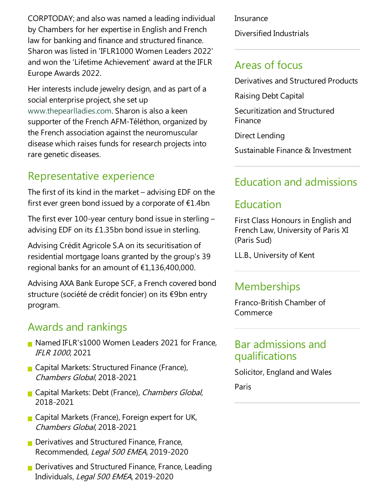CORPTODAY;and also was named aleading individual by Chambers for her expertise in English and French law for banking and finance and structured finance. Sharon was listed in 'IFLR1000 Women Leaders 2022' and won the 'Lifetime Achievement' award at the IFLR Europe Awards 2022.

Her interests include jewelry design, and as part of a social enterprise project, she set up www.thepearlladies.com. Sharon is also a keen supporter of the French AFM-Téléthon, organized by the French association against the neuromuscular disease which raises funds for research projects into rare genetic diseases.

# Representative experience

The first of its kind in the market  $-$  advising EDF on the first ever green bond issued by a corporate of  $E1.4$ bn

The first ever 100-year century bond issue in sterling  $$ advising EDF on its  $£1.35$ bn bond issue in sterling.

Advising Crédit Agricole S.A on its securitisation of residential mortgage loans granted by the group's 39 regional banks for an amount of €1,136,400,000.

Advising AXA Bank Europe SCF, a French covered bond structure (société de crédit foncier) on its €9bn entry program.

#### Awards and rankings

- Named IFLR's1000 Women Leaders 2021 for France, IFLR <sup>1000</sup>, 2021
- Capital Markets: Structured Finance (France), Chambers Global, 2018-2021
- Gapital Markets: Debt (France), Chambers Global, 2018-2021
- Gapital Markets (France), Foreign expert for UK, Chambers Global, 2018-2021
- $\blacksquare$  Derivatives and Structured Finance, France, Recommended, Legal 500 EMEA, 2019-2020
- $\blacksquare$  Derivatives and Structured Finance, France, Leading Individuals, Legal 500 EMEA, 2019-2020

**Insurance** 

Diversified Industrials

# Areas of focus

Derivatives and Structured Products

Raising Debt Capital

Securitization and Structured Finance

Direct Lending

Sustainable Finance & Investment

# Education and admissions

# Education

First Class Honours in English and French Law, University of Paris XI (Paris Sud)

LL.B., University of Kent

#### **Memberships**

Franco-British Chamber of Commerce

#### Bar admissions and qualifications

Solicitor, England and Wales

Paris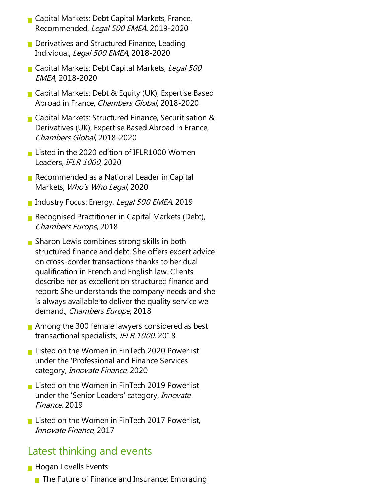- $\blacksquare$  Capital Markets: Debt Capital Markets, France, Recommended, Legal 500 EMEA, 2019-2020
- $\blacksquare$  Derivatives and Structured Finance, Leading Individual, Legal 500 EMEA, 2018-2020
- Gapital Markets: Debt Capital Markets, Legal 500 EMEA, 2018-2020
- Gapital Markets: Debt & Equity (UK), Expertise Based Abroad in France, Chambers Global, 2018-2020
- Capital Markets: Structured Finance, Securitisation & Derivatives (UK), Expertise Based Abroad in France, Chambers Global, 2018-2020
- Listed in the 2020 edition of IFLR1000 Women Leaders, IFLR <sup>1000</sup>, 2020
- Recommended as a National Leader in Capital Markets, Who's Who Legal, 2020
- Industry Focus: Energy, Legal 500 EMEA, 2019
- Recognised Practitioner in Capital Markets (Debt), Chambers Europe, 2018
- $\blacksquare$  Sharon Lewis combines strong skills in both structured finance and debt. She offers expert advice on cross-border transactions thanks to her dual qualification in French and English law. Clients describe her as excellent on structured finance and report: She understands the company needs and she is always available to deliver the quality service we demand., Chambers Europe, 2018
- Among the 300 female lawyers considered as best transactional specialists, IFLR <sup>1000</sup>, 2018
- **Listed on the Women in FinTech 2020 Powerlist** under the'Professional and Finance Services' category, *Innovate Finance*, 2020
- **Listed on the Women in FinTech 2019 Powerlist** under the 'Senior Leaders' category, Innovate Finance, 2019
- **Listed on the Women in FinTech 2017 Powerlist,** Innovate Finance, 2017

#### Latest thinking and events

- **Hogan Lovells Events** 
	- $\blacksquare$  The Future of Finance and Insurance: Embracing